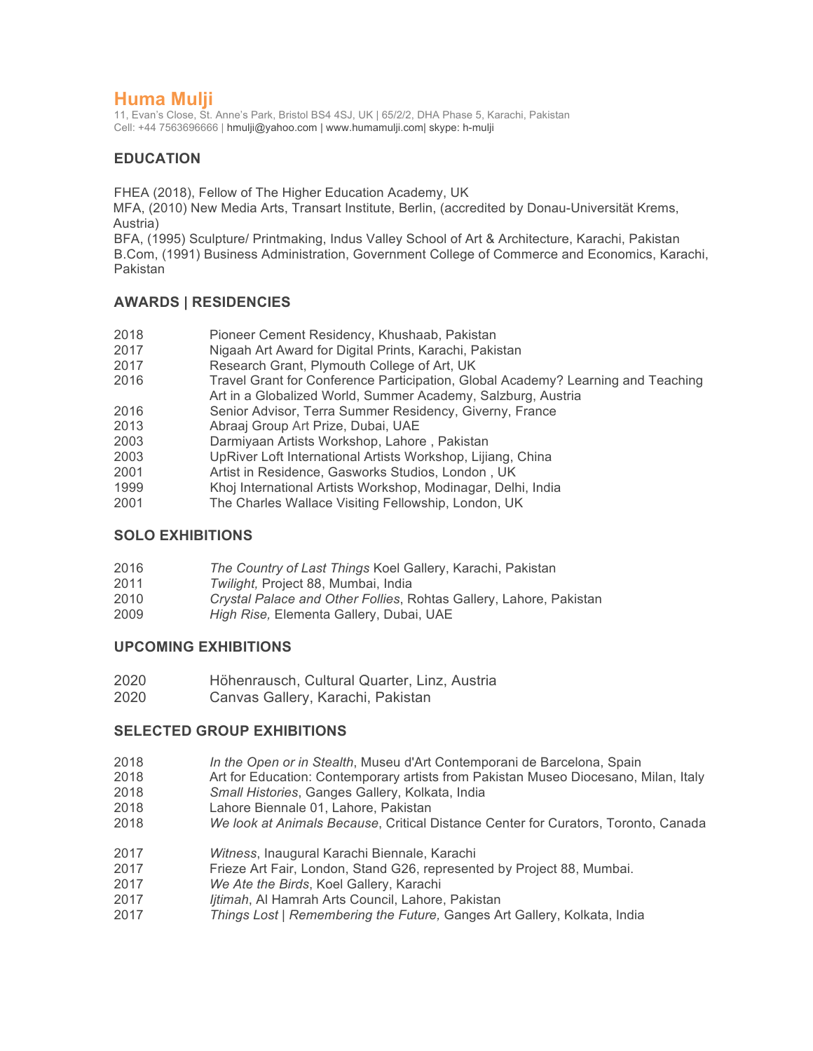# **Huma Mulji**

11, Evan's Close, St. Anne's Park, Bristol BS4 4SJ, UK | 65/2/2, DHA Phase 5, Karachi, Pakistan Cell: +44 7563696666 | hmulji@yahoo.com | www.humamulji.com| skype: h-mulji

# **EDUCATION**

FHEA (2018), Fellow of The Higher Education Academy, UK

MFA, (2010) New Media Arts, Transart Institute, Berlin, (accredited by Donau-Universität Krems, Austria)

BFA, (1995) Sculpture/ Printmaking, Indus Valley School of Art & Architecture, Karachi, Pakistan B.Com, (1991) Business Administration, Government College of Commerce and Economics, Karachi, Pakistan

# **AWARDS | RESIDENCIES**

- 2018 Pioneer Cement Residency, Khushaab, Pakistan
- 2017 Nigaah Art Award for Digital Prints, Karachi, Pakistan
- 2017 Research Grant, Plymouth College of Art, UK
- 2016 Travel Grant for Conference Participation, Global Academy? Learning and Teaching Art in a Globalized World, Summer Academy, Salzburg, Austria
- 2016 Senior Advisor, Terra Summer Residency, Giverny, France
- 2013 Abraaj Group Art Prize, Dubai, UAE
- 2003 Darmiyaan Artists Workshop, Lahore , Pakistan
- 2003 UpRiver Loft International Artists Workshop, Lijiang, China
- 2001 Artist in Residence, Gasworks Studios, London , UK
- 1999 Khoj International Artists Workshop, Modinagar, Delhi, India
- 2001 The Charles Wallace Visiting Fellowship, London, UK

# **SOLO EXHIBITIONS**

| 2016 | The Country of Last Things Koel Gallery, Karachi, Pakistan |
|------|------------------------------------------------------------|
|------|------------------------------------------------------------|

- 2011 *Twilight,* Project 88, Mumbai, India
- 2010 *Crystal Palace and Other Follies*, Rohtas Gallery, Lahore, Pakistan
- 2009 *High Rise,* Elementa Gallery, Dubai, UAE

## **UPCOMING EXHIBITIONS**

- 2020 Höhenrausch, Cultural Quarter, Linz, Austria
- 2020 Canvas Gallery, Karachi, Pakistan

# **SELECTED GROUP EXHIBITIONS**

- 2018 *In the Open or in Stealth*, Museu d'Art Contemporani de Barcelona, Spain
- 2018 Art for Education: Contemporary artists from Pakistan Museo Diocesano, Milan, Italy
- 2018 *Small Histories*, Ganges Gallery, Kolkata, India
- 2018 Lahore Biennale 01, Lahore, Pakistan
- 2018 *We look at Animals Because*, Critical Distance Center for Curators, Toronto, Canada
- 2017 *Witness*, Inaugural Karachi Biennale, Karachi
- 2017 Frieze Art Fair, London, Stand G26, represented by Project 88, Mumbai.
- 2017 *We Ate the Birds*, Koel Gallery, Karachi
- 2017 *Ijtimah*, Al Hamrah Arts Council, Lahore, Pakistan
- 2017 *Things Lost* | *Remembering the Future,* Ganges Art Gallery, Kolkata, India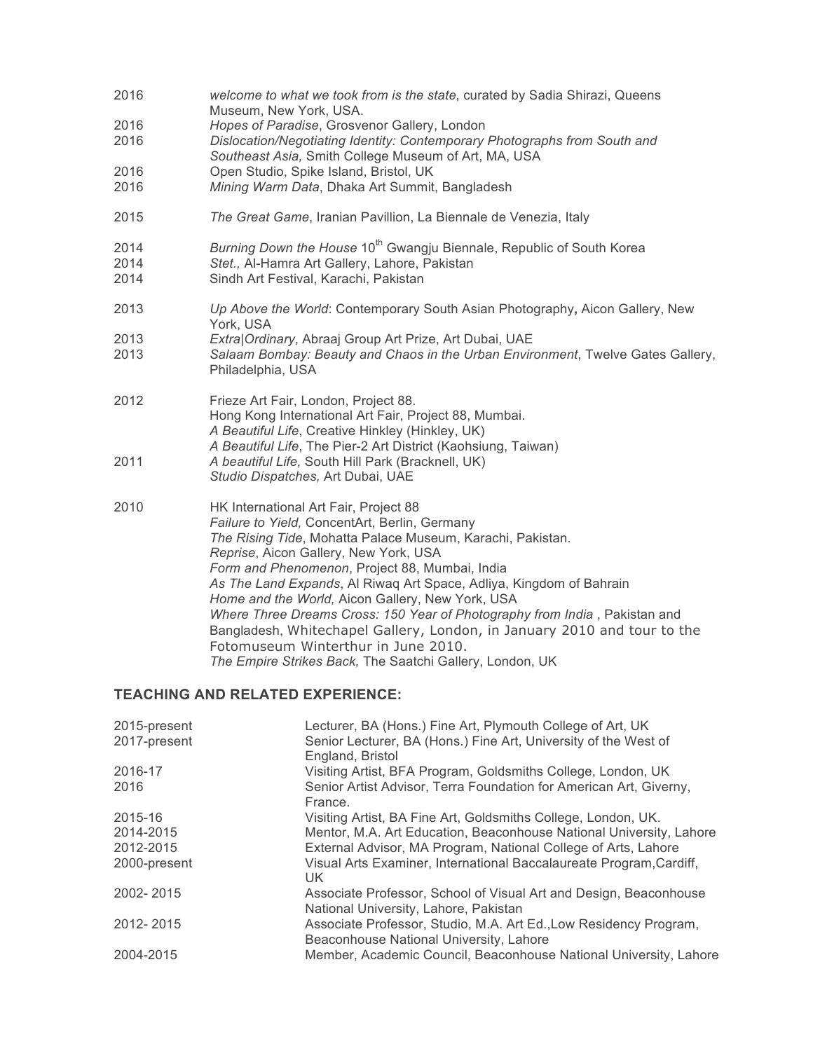| 2016                 | welcome to what we took from is the state, curated by Sadia Shirazi, Queens<br>Museum, New York, USA.                                                                                                                                                                                                                                                                                                                                                                                                                                                                                                                                   |
|----------------------|-----------------------------------------------------------------------------------------------------------------------------------------------------------------------------------------------------------------------------------------------------------------------------------------------------------------------------------------------------------------------------------------------------------------------------------------------------------------------------------------------------------------------------------------------------------------------------------------------------------------------------------------|
| 2016<br>2016         | Hopes of Paradise, Grosvenor Gallery, London<br>Dislocation/Negotiating Identity: Contemporary Photographs from South and<br>Southeast Asia, Smith College Museum of Art, MA, USA                                                                                                                                                                                                                                                                                                                                                                                                                                                       |
| 2016<br>2016         | Open Studio, Spike Island, Bristol, UK<br>Mining Warm Data, Dhaka Art Summit, Bangladesh                                                                                                                                                                                                                                                                                                                                                                                                                                                                                                                                                |
| 2015                 | The Great Game, Iranian Pavillion, La Biennale de Venezia, Italy                                                                                                                                                                                                                                                                                                                                                                                                                                                                                                                                                                        |
| 2014<br>2014<br>2014 | Burning Down the House 10 <sup>th</sup> Gwangju Biennale, Republic of South Korea<br>Stet., Al-Hamra Art Gallery, Lahore, Pakistan<br>Sindh Art Festival, Karachi, Pakistan                                                                                                                                                                                                                                                                                                                                                                                                                                                             |
| 2013                 | Up Above the World: Contemporary South Asian Photography, Aicon Gallery, New<br>York, USA                                                                                                                                                                                                                                                                                                                                                                                                                                                                                                                                               |
| 2013<br>2013         | Extra Ordinary, Abraaj Group Art Prize, Art Dubai, UAE<br>Salaam Bombay: Beauty and Chaos in the Urban Environment, Twelve Gates Gallery,<br>Philadelphia, USA                                                                                                                                                                                                                                                                                                                                                                                                                                                                          |
| 2012                 | Frieze Art Fair, London, Project 88.<br>Hong Kong International Art Fair, Project 88, Mumbai.<br>A Beautiful Life, Creative Hinkley (Hinkley, UK)<br>A Beautiful Life, The Pier-2 Art District (Kaohsiung, Taiwan)                                                                                                                                                                                                                                                                                                                                                                                                                      |
| 2011                 | A beautiful Life, South Hill Park (Bracknell, UK)<br>Studio Dispatches, Art Dubai, UAE                                                                                                                                                                                                                                                                                                                                                                                                                                                                                                                                                  |
| 2010                 | HK International Art Fair, Project 88<br>Failure to Yield, ConcentArt, Berlin, Germany<br>The Rising Tide, Mohatta Palace Museum, Karachi, Pakistan.<br>Reprise, Aicon Gallery, New York, USA<br>Form and Phenomenon, Project 88, Mumbai, India<br>As The Land Expands, Al Riwaq Art Space, Adliya, Kingdom of Bahrain<br>Home and the World, Aicon Gallery, New York, USA<br>Where Three Dreams Cross: 150 Year of Photography from India, Pakistan and<br>Bangladesh, Whitechapel Gallery, London, in January 2010 and tour to the<br>Fotomuseum Winterthur in June 2010.<br>The Empire Strikes Back, The Saatchi Gallery, London, UK |

# **TEACHING AND RELATED EXPERIENCE:**

| 2015-present | Lecturer, BA (Hons.) Fine Art, Plymouth College of Art, UK                                                   |
|--------------|--------------------------------------------------------------------------------------------------------------|
| 2017-present | Senior Lecturer, BA (Hons.) Fine Art, University of the West of                                              |
|              | England, Bristol                                                                                             |
| 2016-17      | Visiting Artist, BFA Program, Goldsmiths College, London, UK                                                 |
| 2016         | Senior Artist Advisor, Terra Foundation for American Art, Giverny,<br>France.                                |
| 2015-16      | Visiting Artist, BA Fine Art, Goldsmiths College, London, UK.                                                |
| 2014-2015    | Mentor, M.A. Art Education, Beaconhouse National University, Lahore                                          |
| 2012-2015    | External Advisor, MA Program, National College of Arts, Lahore                                               |
| 2000-present | Visual Arts Examiner, International Baccalaureate Program, Cardiff,<br>UK.                                   |
| 2002-2015    | Associate Professor, School of Visual Art and Design, Beaconhouse<br>National University, Lahore, Pakistan   |
| 2012-2015    | Associate Professor, Studio, M.A. Art Ed., Low Residency Program,<br>Beaconhouse National University, Lahore |
| 2004-2015    | Member, Academic Council, Beaconhouse National University, Lahore                                            |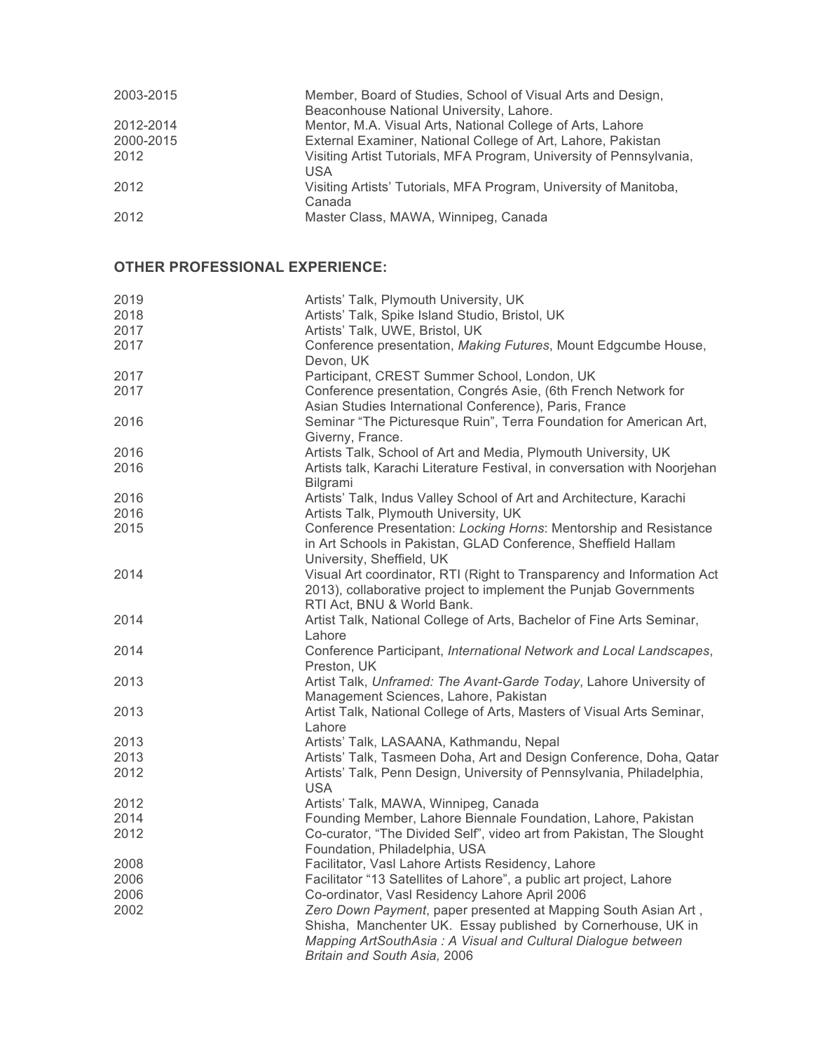| 2003-2015 | Member, Board of Studies, School of Visual Arts and Design,<br>Beaconhouse National University, Lahore. |
|-----------|---------------------------------------------------------------------------------------------------------|
| 2012-2014 | Mentor, M.A. Visual Arts, National College of Arts, Lahore                                              |
| 2000-2015 | External Examiner, National College of Art, Lahore, Pakistan                                            |
| 2012      | Visiting Artist Tutorials, MFA Program, University of Pennsylvania,<br><b>USA</b>                       |
| 2012      | Visiting Artists' Tutorials, MFA Program, University of Manitoba,<br>Canada                             |
| 2012      | Master Class, MAWA, Winnipeg, Canada                                                                    |

# **OTHER PROFESSIONAL EXPERIENCE:**

| 2019 | Artists' Talk, Plymouth University, UK                                    |
|------|---------------------------------------------------------------------------|
| 2018 | Artists' Talk, Spike Island Studio, Bristol, UK                           |
| 2017 | Artists' Talk, UWE, Bristol, UK                                           |
| 2017 | Conference presentation, Making Futures, Mount Edgcumbe House,            |
|      | Devon, UK                                                                 |
| 2017 | Participant, CREST Summer School, London, UK                              |
| 2017 | Conference presentation, Congrés Asie, (6th French Network for            |
|      |                                                                           |
|      | Asian Studies International Conference), Paris, France                    |
| 2016 | Seminar "The Picturesque Ruin", Terra Foundation for American Art,        |
|      | Giverny, France.                                                          |
| 2016 | Artists Talk, School of Art and Media, Plymouth University, UK            |
| 2016 | Artists talk, Karachi Literature Festival, in conversation with Noorjehan |
|      | Bilgrami                                                                  |
| 2016 | Artists' Talk, Indus Valley School of Art and Architecture, Karachi       |
| 2016 | Artists Talk, Plymouth University, UK                                     |
| 2015 | Conference Presentation: Locking Horns: Mentorship and Resistance         |
|      | in Art Schools in Pakistan, GLAD Conference, Sheffield Hallam             |
|      | University, Sheffield, UK                                                 |
| 2014 | Visual Art coordinator, RTI (Right to Transparency and Information Act    |
|      | 2013), collaborative project to implement the Punjab Governments          |
|      | RTI Act, BNU & World Bank.                                                |
| 2014 | Artist Talk, National College of Arts, Bachelor of Fine Arts Seminar,     |
|      |                                                                           |
|      | Lahore                                                                    |
| 2014 | Conference Participant, International Network and Local Landscapes,       |
|      | Preston, UK                                                               |
| 2013 | Artist Talk, Unframed: The Avant-Garde Today, Lahore University of        |
|      | Management Sciences, Lahore, Pakistan                                     |
| 2013 | Artist Talk, National College of Arts, Masters of Visual Arts Seminar,    |
|      | Lahore                                                                    |
| 2013 | Artists' Talk, LASAANA, Kathmandu, Nepal                                  |
| 2013 | Artists' Talk, Tasmeen Doha, Art and Design Conference, Doha, Qatar       |
| 2012 | Artists' Talk, Penn Design, University of Pennsylvania, Philadelphia,     |
|      | <b>USA</b>                                                                |
| 2012 | Artists' Talk, MAWA, Winnipeg, Canada                                     |
| 2014 | Founding Member, Lahore Biennale Foundation, Lahore, Pakistan             |
| 2012 | Co-curator, "The Divided Self", video art from Pakistan, The Slought      |
|      | Foundation, Philadelphia, USA                                             |
| 2008 | Facilitator, Vasl Lahore Artists Residency, Lahore                        |
| 2006 | Facilitator "13 Satellites of Lahore", a public art project, Lahore       |
| 2006 | Co-ordinator, Vasl Residency Lahore April 2006                            |
| 2002 | Zero Down Payment, paper presented at Mapping South Asian Art,            |
|      |                                                                           |
|      | Shisha, Manchenter UK. Essay published by Cornerhouse, UK in              |
|      | Mapping ArtSouthAsia: A Visual and Cultural Dialogue between              |
|      | Britain and South Asia, 2006                                              |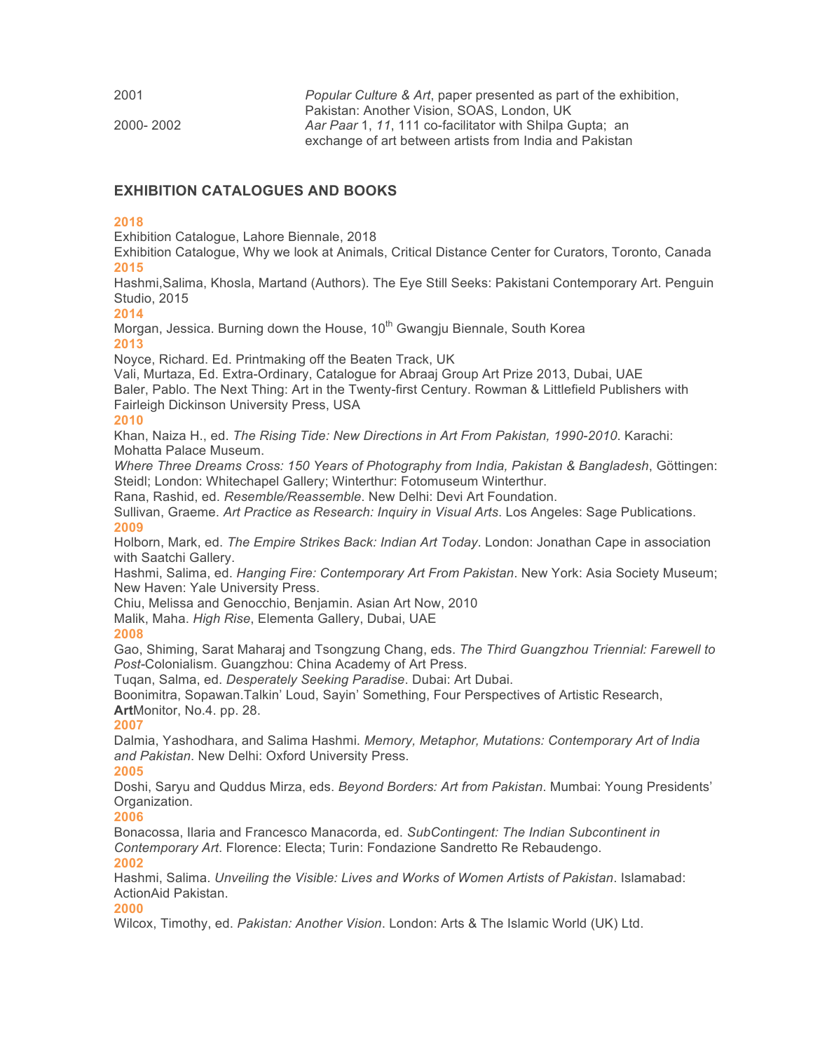| 2001      | <i>Popular Culture &amp; Art, paper presented as part of the exhibition,</i> |
|-----------|------------------------------------------------------------------------------|
|           | Pakistan: Another Vision, SOAS, London, UK                                   |
| 2000-2002 | Aar Paar 1, 11, 111 co-facilitator with Shilpa Gupta; an                     |
|           | exchange of art between artists from India and Pakistan                      |

## **EXHIBITION CATALOGUES AND BOOKS**

#### **2018**

Exhibition Catalogue, Lahore Biennale, 2018

Exhibition Catalogue, Why we look at Animals, Critical Distance Center for Curators, Toronto, Canada **2015**

Hashmi,Salima, Khosla, Martand (Authors). The Eye Still Seeks: Pakistani Contemporary Art. Penguin Studio, 2015

**2014**

Morgan, Jessica. Burning down the House, 10<sup>th</sup> Gwangju Biennale, South Korea **2013**

Noyce, Richard. Ed. Printmaking off the Beaten Track, UK

Vali, Murtaza, Ed. Extra-Ordinary, Catalogue for Abraaj Group Art Prize 2013, Dubai, UAE Baler, Pablo. The Next Thing: Art in the Twenty-first Century. Rowman & Littlefield Publishers with Fairleigh Dickinson University Press, USA

#### **2010**

Khan, Naiza H., ed. *The Rising Tide: New Directions in Art From Pakistan, 1990-2010*. Karachi: Mohatta Palace Museum.

*Where Three Dreams Cross: 150 Years of Photography from India, Pakistan & Bangladesh*, Göttingen: Steidl; London: Whitechapel Gallery; Winterthur: Fotomuseum Winterthur.

Rana, Rashid, ed. *Resemble/Reassemble*. New Delhi: Devi Art Foundation.

Sullivan, Graeme. *Art Practice as Research: Inquiry in Visual Arts*. Los Angeles: Sage Publications. **2009**

Holborn, Mark, ed. *The Empire Strikes Back: Indian Art Today*. London: Jonathan Cape in association with Saatchi Gallery.

Hashmi, Salima, ed. *Hanging Fire: Contemporary Art From Pakistan*. New York: Asia Society Museum; New Haven: Yale University Press.

Chiu, Melissa and Genocchio, Benjamin. Asian Art Now, 2010

Malik, Maha. *High Rise*, Elementa Gallery, Dubai, UAE

#### **2008**

Gao, Shiming, Sarat Maharaj and Tsongzung Chang, eds. *The Third Guangzhou Triennial: Farewell to Post-*Colonialism. Guangzhou: China Academy of Art Press.

Tuqan, Salma, ed. *Desperately Seeking Paradise*. Dubai: Art Dubai.

Boonimitra, Sopawan.Talkin' Loud, Sayin' Something, Four Perspectives of Artistic Research, **Art**Monitor, No.4. pp. 28.

#### **2007**

Dalmia, Yashodhara, and Salima Hashmi. *Memory, Metaphor, Mutations: Contemporary Art of India and Pakistan*. New Delhi: Oxford University Press.

#### **2005**

Doshi, Saryu and Quddus Mirza, eds. *Beyond Borders: Art from Pakistan*. Mumbai: Young Presidents' Organization.

#### **2006**

Bonacossa, Ilaria and Francesco Manacorda, ed. *SubContingent: The Indian Subcontinent in Contemporary Art*. Florence: Electa; Turin: Fondazione Sandretto Re Rebaudengo. **2002**

Hashmi, Salima. *Unveiling the Visible: Lives and Works of Women Artists of Pakistan*. Islamabad: ActionAid Pakistan.

#### **2000**

Wilcox, Timothy, ed. *Pakistan: Another Vision*. London: Arts & The Islamic World (UK) Ltd.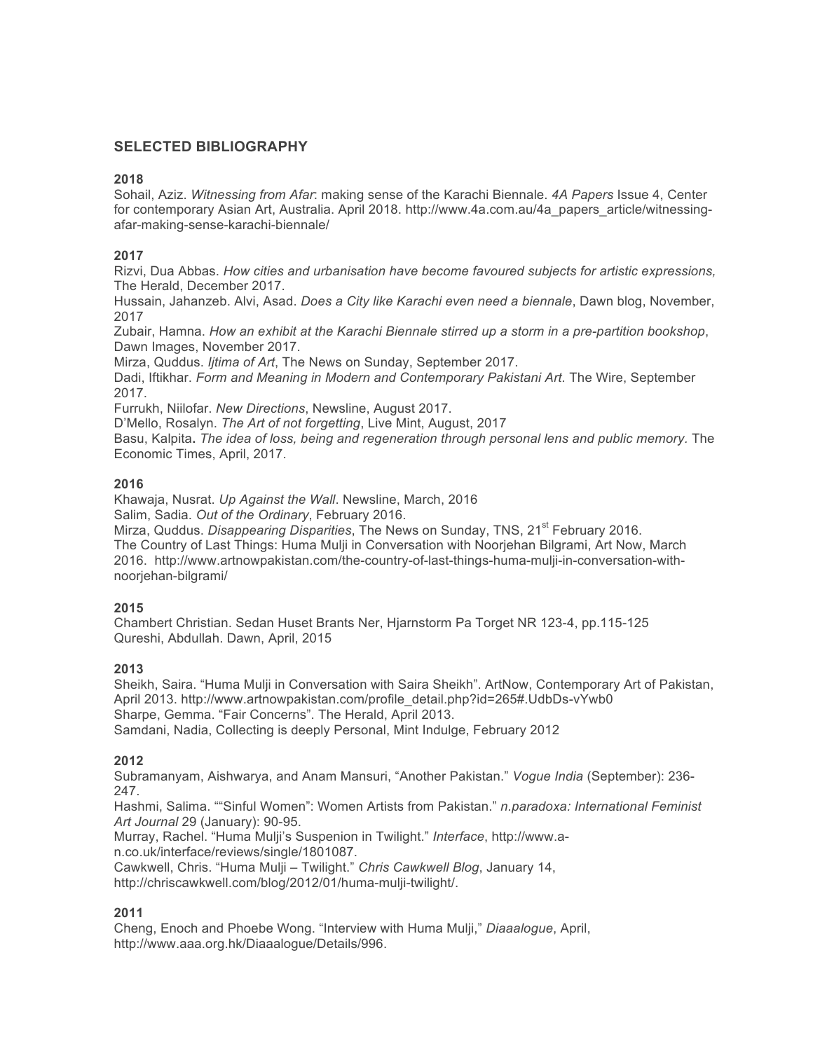# **SELECTED BIBLIOGRAPHY**

#### **2018**

Sohail, Aziz. *Witnessing from Afar*: making sense of the Karachi Biennale. *4A Papers* Issue 4, Center for contemporary Asian Art, Australia. April 2018. http://www.4a.com.au/4a\_papers\_article/witnessingafar-making-sense-karachi-biennale/

### **2017**

Rizvi, Dua Abbas. *How cities and urbanisation have become favoured subjects for artistic expressions,*  The Herald, December 2017.

Hussain, Jahanzeb. Alvi, Asad. *Does a City like Karachi even need a biennale*, Dawn blog, November, 2017

Zubair, Hamna. *How an exhibit at the Karachi Biennale stirred up a storm in a pre-partition bookshop*, Dawn Images, November 2017.

Mirza, Quddus. *Ijtima of Art*, The News on Sunday, September 2017.

Dadi, Iftikhar. *Form and Meaning in Modern and Contemporary Pakistani Art.* The Wire, September 2017.

Furrukh, Niilofar. *New Directions*, Newsline, August 2017.

D'Mello, Rosalyn. *The Art of not forgetting*, Live Mint, August, 2017

Basu, Kalpita**.** *The idea of loss, being and regeneration through personal lens and public memory.* The Economic Times, April, 2017.

### **2016**

Khawaja, Nusrat. *Up Against the Wall*. Newsline, March, 2016 Salim, Sadia. *Out of the Ordinary*, February 2016.

Mirza, Quddus. *Disappearing Disparities*, The News on Sunday, TNS, 21<sup>st</sup> February 2016. The Country of Last Things: Huma Mulji in Conversation with Noorjehan Bilgrami, Art Now, March 2016. http://www.artnowpakistan.com/the-country-of-last-things-huma-mulji-in-conversation-withnoorjehan-bilgrami/

#### **2015**

Chambert Christian. Sedan Huset Brants Ner, Hjarnstorm Pa Torget NR 123-4, pp.115-125 Qureshi, Abdullah. Dawn, April, 2015

#### **2013**

Sheikh, Saira. "Huma Mulji in Conversation with Saira Sheikh". ArtNow, Contemporary Art of Pakistan, April 2013. http://www.artnowpakistan.com/profile\_detail.php?id=265#.UdbDs-vYwb0 Sharpe, Gemma. "Fair Concerns". The Herald, April 2013. Samdani, Nadia, Collecting is deeply Personal, Mint Indulge, February 2012

#### **2012**

Subramanyam, Aishwarya, and Anam Mansuri, "Another Pakistan." *Vogue India* (September): 236- 247.

Hashmi, Salima. ""Sinful Women": Women Artists from Pakistan." *n.paradoxa: International Feminist Art Journal* 29 (January): 90-95.

Murray, Rachel. "Huma Mulji's Suspenion in Twilight." *Interface*, http://www.an.co.uk/interface/reviews/single/1801087.

Cawkwell, Chris. "Huma Mulji – Twilight." *Chris Cawkwell Blog*, January 14,

http://chriscawkwell.com/blog/2012/01/huma-mulji-twilight/.

# **2011**

Cheng, Enoch and Phoebe Wong. "Interview with Huma Mulji," *Diaaalogue*, April, http://www.aaa.org.hk/Diaaalogue/Details/996.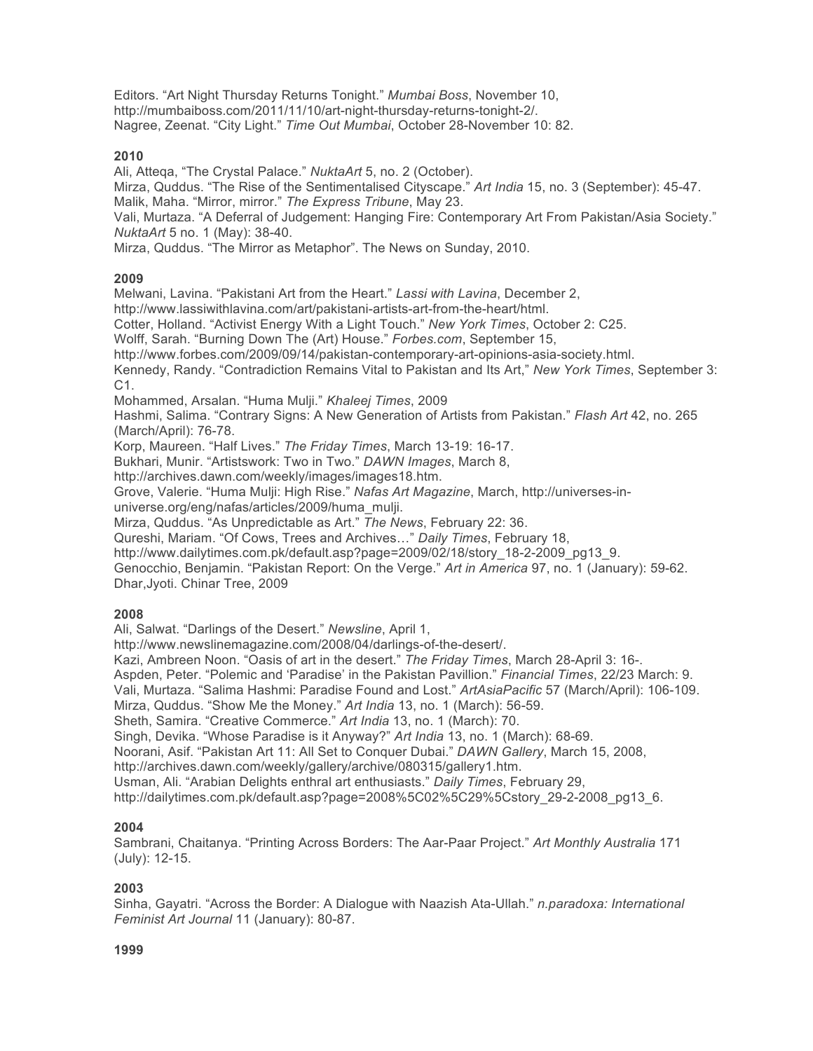Editors. "Art Night Thursday Returns Tonight." *Mumbai Boss*, November 10, http://mumbaiboss.com/2011/11/10/art-night-thursday-returns-tonight-2/. Nagree, Zeenat. "City Light." *Time Out Mumbai*, October 28-November 10: 82.

#### **2010**

Ali, Atteqa, "The Crystal Palace." *NuktaArt* 5, no. 2 (October).

Mirza, Quddus. "The Rise of the Sentimentalised Cityscape." *Art India* 15, no. 3 (September): 45-47. Malik, Maha. "Mirror, mirror." *The Express Tribune*, May 23.

Vali, Murtaza. "A Deferral of Judgement: Hanging Fire: Contemporary Art From Pakistan/Asia Society." *NuktaArt* 5 no. 1 (May): 38-40.

Mirza, Quddus. "The Mirror as Metaphor". The News on Sunday, 2010.

### **2009**

Melwani, Lavina. "Pakistani Art from the Heart." *Lassi with Lavina*, December 2,

http://www.lassiwithlavina.com/art/pakistani-artists-art-from-the-heart/html.

Cotter, Holland. "Activist Energy With a Light Touch." *New York Times*, October 2: C25.

Wolff, Sarah. "Burning Down The (Art) House." *Forbes.com*, September 15,

http://www.forbes.com/2009/09/14/pakistan-contemporary-art-opinions-asia-society.html.

Kennedy, Randy. "Contradiction Remains Vital to Pakistan and Its Art," *New York Times*, September 3: C1.

Mohammed, Arsalan. "Huma Mulji." *Khaleej Times*, 2009

Hashmi, Salima. "Contrary Signs: A New Generation of Artists from Pakistan." *Flash Art* 42, no. 265 (March/April): 76-78.

Korp, Maureen. "Half Lives." *The Friday Times*, March 13-19: 16-17.

Bukhari, Munir. "Artistswork: Two in Two." *DAWN Images*, March 8,

http://archives.dawn.com/weekly/images/images18.htm.

Grove, Valerie. "Huma Mulji: High Rise." *Nafas Art Magazine*, March, http://universes-in-

universe.org/eng/nafas/articles/2009/huma\_mulji.

Mirza, Quddus. "As Unpredictable as Art." *The News*, February 22: 36.

Qureshi, Mariam. "Of Cows, Trees and Archives…" *Daily Times*, February 18,

http://www.dailytimes.com.pk/default.asp?page=2009/02/18/story\_18-2-2009\_pg13\_9.

Genocchio, Benjamin. "Pakistan Report: On the Verge." *Art in America* 97, no. 1 (January): 59-62. Dhar,Jyoti. Chinar Tree, 2009

## **2008**

Ali, Salwat. "Darlings of the Desert." *Newsline*, April 1,

http://www.newslinemagazine.com/2008/04/darlings-of-the-desert/.

Kazi, Ambreen Noon. "Oasis of art in the desert." *The Friday Times*, March 28-April 3: 16-.

Aspden, Peter. "Polemic and 'Paradise' in the Pakistan Pavillion." *Financial Times*, 22/23 March: 9.

Vali, Murtaza. "Salima Hashmi: Paradise Found and Lost." *ArtAsiaPacific* 57 (March/April): 106-109.

Mirza, Quddus. "Show Me the Money." *Art India* 13, no. 1 (March): 56-59.

Sheth, Samira. "Creative Commerce." *Art India* 13, no. 1 (March): 70.

Singh, Devika. "Whose Paradise is it Anyway?" *Art India* 13, no. 1 (March): 68-69.

Noorani, Asif. "Pakistan Art 11: All Set to Conquer Dubai." *DAWN Gallery*, March 15, 2008,

http://archives.dawn.com/weekly/gallery/archive/080315/gallery1.htm.

Usman, Ali. "Arabian Delights enthral art enthusiasts." *Daily Times*, February 29,

http://dailytimes.com.pk/default.asp?page=2008%5C02%5C29%5Cstory\_29-2-2008\_pg13\_6.

## **2004**

Sambrani, Chaitanya. "Printing Across Borders: The Aar-Paar Project." *Art Monthly Australia* 171 (July): 12-15.

## **2003**

Sinha, Gayatri. "Across the Border: A Dialogue with Naazish Ata-Ullah." *n.paradoxa: International Feminist Art Journal* 11 (January): 80-87.